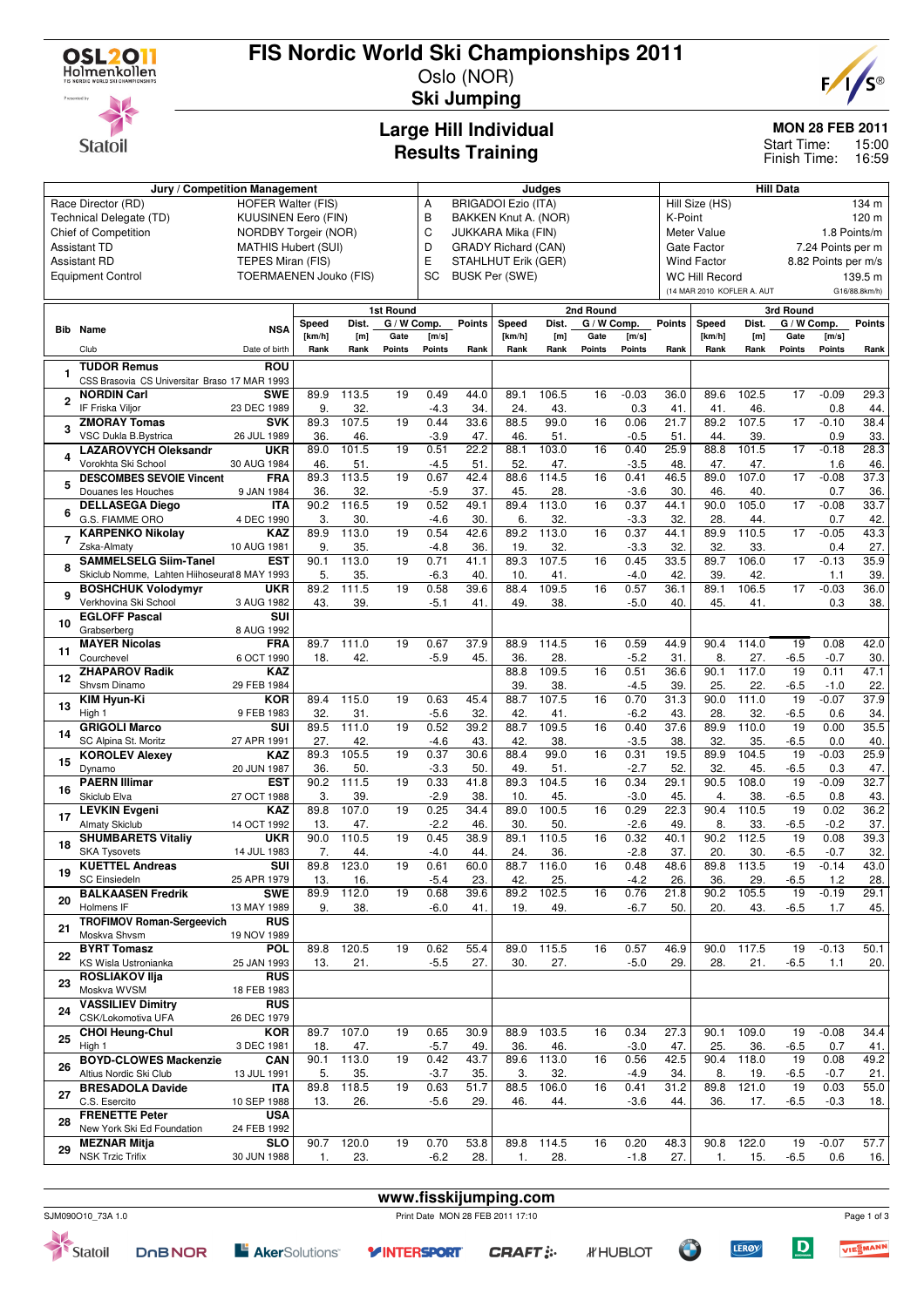

**Statoil** 

## **FIS Nordic World Ski Championships 2011**

Oslo (NOR) **Ski Jumping**



**MON 28 FEB 2011**

15:00 16:59 Start Time: Finish Time:

# **Large Hill Individual**

|                               | <b>Results Training</b> | ا ااهاب<br>Finish |
|-------------------------------|-------------------------|-------------------|
| Jury / Competition Management | Judaes                  | <b>Hill Data</b>  |

|    | Jury / Competition Management                       | Judges                     |             |                            |                 |                          |               | <b>Hill Data</b>           |                         |             |                |                   |                             |                            |                 |                     |               |  |  |
|----|-----------------------------------------------------|----------------------------|-------------|----------------------------|-----------------|--------------------------|---------------|----------------------------|-------------------------|-------------|----------------|-------------------|-----------------------------|----------------------------|-----------------|---------------------|---------------|--|--|
|    | Race Director (RD)                                  | А                          |             | <b>BRIGADOI Ezio (ITA)</b> |                 |                          |               |                            | Hill Size (HS)<br>134 m |             |                |                   |                             |                            |                 |                     |               |  |  |
|    | Technical Delegate (TD)                             | <b>KUUSINEN Eero (FIN)</b> |             |                            |                 | B                        |               | BAKKEN Knut A. (NOR)       |                         |             |                | K-Point           |                             |                            |                 |                     | 120 m         |  |  |
|    | Chief of Competition                                | NORDBY Torgeir (NOR)       |             |                            |                 | C                        |               | JUKKARA Mika (FIN)         |                         |             |                |                   | 1.8 Points/m<br>Meter Value |                            |                 |                     |               |  |  |
|    | <b>Assistant TD</b>                                 | <b>MATHIS Hubert (SUI)</b> |             |                            |                 | D                        |               | <b>GRADY Richard (CAN)</b> |                         |             |                |                   | Gate Factor                 |                            |                 | 7.24 Points per m   |               |  |  |
|    | <b>Assistant RD</b>                                 | TEPES Miran (FIS)          |             |                            |                 | E<br>STAHLHUT Erik (GER) |               |                            |                         |             |                |                   | <b>Wind Factor</b>          |                            |                 | 8.82 Points per m/s |               |  |  |
|    | <b>Equipment Control</b>                            | TOERMAENEN Jouko (FIS)     |             |                            |                 | SC                       |               | <b>BUSK Per (SWE)</b>      |                         |             |                |                   | <b>WC Hill Record</b>       |                            |                 |                     | 139.5 m       |  |  |
|    |                                                     |                            |             |                            |                 |                          |               |                            |                         |             |                |                   |                             | (14 MAR 2010 KOFLER A. AUT |                 |                     | G16/88.8km/h) |  |  |
|    |                                                     |                            |             |                            | 1st Round       |                          |               |                            |                         | 2nd Round   |                |                   |                             |                            | 3rd Round       |                     |               |  |  |
|    |                                                     |                            | Speed       | Dist.                      | G / W Comp.     |                          | <b>Points</b> | Speed                      | Dist.                   | G / W Comp. |                | <b>Points</b>     | Speed                       | Dist.                      | G / W Comp.     |                     | <b>Points</b> |  |  |
|    | <b>Bib</b> Name                                     | <b>NSA</b>                 | [km/h]      | [m]                        | Gate            | [m/s]                    |               | [km/h]                     | [m]                     | Gate        | [m/s]          |                   | [km/h]                      | [m]                        | Gate            | [m/s]               |               |  |  |
|    | Club                                                | Date of birth              | Rank        | Rank                       | Points          | Points                   | Rank          | Rank                       | Rank                    | Points      | Points         | Rank              | Rank                        | Rank                       | Points          | Points              | Rank          |  |  |
|    | <b>TUDOR Remus</b>                                  | ROU                        |             |                            |                 |                          |               |                            |                         |             |                |                   |                             |                            |                 |                     |               |  |  |
|    | CSS Brasovia CS Universitar Braso 17 MAR 1993       |                            |             |                            |                 |                          |               |                            |                         |             |                |                   |                             |                            |                 |                     |               |  |  |
|    | <b>NORDIN Carl</b>                                  | <b>SWE</b>                 | 89.9        | 113.5                      | 19              | 0.49                     | 44.0          | 89.1                       | 106.5                   | 16          | $-0.03$        | 36.0              | 89.6                        | 102.5                      | 17              | $-0.09$             | 29.3          |  |  |
| 2  | IF Friska Viljor                                    | 23 DEC 1989                | 9.          | 32.                        |                 | $-4.3$                   | 34.           | 24.                        | 43.                     |             | 0.3            | 41                | 41.                         | 46.                        |                 | 0.8                 | 44.           |  |  |
|    | <b>ZMORAY Tomas</b>                                 | <b>SVK</b>                 | 89.3        | 107.5                      | 19              | 0.44                     | 33.6          | 88.5                       | 99.0                    | 16          | 0.06           | 21.7              | 89.2                        | 107.5                      | $\overline{17}$ | $-0.10$             | 38.4          |  |  |
| 3  | VSC Dukla B.Bystrica                                | 26 JUL 1989                | 36.         | 46.                        |                 | $-3.9$                   | 47.           | 46.                        | 51.                     |             | $-0.5$         | 51                | 44.                         | 39.                        |                 | 0.9                 | 33.           |  |  |
| 4  | <b>LAZAROVYCH Oleksandr</b>                         | <b>UKR</b>                 | 89.0        | 101.5                      | 19              | 0.51                     | 22.2          | 88.1                       | 103.0                   | 16          | 0.40           | 25.9              | 88.8                        | 101.5                      | 17              | $-0.18$             | 28.3          |  |  |
|    | Vorokhta Ski School                                 | 30 AUG 1984                | 46.         | 51.                        |                 | $-4.5$                   | 51.           | 52.                        | 47.                     |             | $-3.5$         | 48                | 47.                         | 47.                        |                 | 1.6                 | 46.           |  |  |
| 5  | <b>DESCOMBES SEVOIE Vincent</b>                     | <b>FRA</b>                 | 89.3        | 113.5                      | 19              | 0.67                     | 42.4          | 88.6                       | 114.5                   | 16          | 0.41           | 46.5              | 89.0                        | 107.0                      | $\overline{17}$ | $-0.08$             | 37.3          |  |  |
|    | Douanes les Houches                                 | 9 JAN 1984                 | 36.         | 32.                        |                 | $-5.9$                   | 37.           | 45.                        | 28.                     |             | $-3.6$         | 30                | 46.                         | 40.                        |                 | 0.7                 | 36.           |  |  |
| 6  | <b>DELLASEGA Diego</b>                              | <b>ITA</b>                 | 90.2        | 116.5                      | 19              | 0.52                     | 49.1          | 89.4                       | 113.0                   | 16          | 0.37           | 44.1              | 90.0                        | 105.0                      | 17              | $-0.08$             | 33.7          |  |  |
|    | G.S. FIAMME ORO<br><b>KARPENKO Nikolay</b>          | 4 DEC 1990<br>KAZ          | 3.<br>89.9  | 30.<br>113.0               | 19              | $-4.6$<br>0.54           | 30.<br>42.6   | 6.<br>89.2                 | 32.<br>113.0            | 16          | $-3.3$<br>0.37 | 32<br>44.1        | 28.<br>89.9                 | 44.<br>110.5               | 17              | 0.7<br>$-0.05$      | 42.<br>43.3   |  |  |
| 7  | Zska-Almaty                                         | 10 AUG 1981                | 9.          | 35                         |                 | $-4.8$                   | 36.           | 19.                        | 32.                     |             | $-3.3$         | 32                | 32.                         | 33.                        |                 | 0.4                 | 27.           |  |  |
|    | <b>SAMMELSELG Siim-Tanel</b>                        | <b>EST</b>                 | 90.1        | 113.0                      | 19              | 0.71                     | 41.1          | 89.3                       | 107.5                   | 16          | 0.45           | 33.5              | 89.7                        | 106.0                      | 17              | $-0.13$             | 35.9          |  |  |
| 8  | Skiclub Nomme, Lahten Hiihoseural 8 MAY 1993        |                            | 5.          | 35.                        |                 | $-6.3$                   | 40.           | 10.                        | 41.                     |             | $-4.0$         | 42.               | 39.                         | 42.                        |                 | 1.1                 | 39.           |  |  |
|    | <b>BOSHCHUK Volodymyr</b>                           | <b>UKR</b>                 | 89.2        | 111.5                      | 19              | 0.58                     | 39.6          | 88.4                       | 109.5                   | 16          | 0.57           | 36.1              | 89.1                        | 106.5                      | 17              | $-0.03$             | 36.0          |  |  |
| 9  | Verkhovina Ski School                               | 3 AUG 1982                 | 43.         | 39.                        |                 | $-5.1$                   | 41.           | 49.                        | 38.                     |             | $-5.0$         | 40.               | 45.                         | 41.                        |                 | 0.3                 | 38.           |  |  |
|    | <b>EGLOFF Pascal</b>                                | SUI                        |             |                            |                 |                          |               |                            |                         |             |                |                   |                             |                            |                 |                     |               |  |  |
| 10 | Grabserberg                                         | 8 AUG 1992                 |             |                            |                 |                          |               |                            |                         |             |                |                   |                             |                            |                 |                     |               |  |  |
| 11 | <b>MAYER Nicolas</b>                                | <b>FRA</b>                 | 89.7        | 111.0                      | 19              | 0.67                     | 37.9          | 88.9                       | 114.5                   | 16          | 0.59           | 44.9              | 90.4                        | 114.0                      | 19              | 0.08                | 42.0          |  |  |
|    | Courchevel                                          | 6 OCT 1990                 | 18.         | 42.                        |                 | $-5.9$                   | 45.           | 36.                        | 28.                     |             | $-5.2$         | 31.               | 8.                          | 27.                        | $-6.5$          | $-0.7$              | 30.           |  |  |
| 12 | <b>ZHAPAROV Radik</b>                               | <b>KAZ</b>                 |             |                            |                 |                          |               | 88.8                       | 109.5                   | 16          | 0.51           | 36.6              | 90.1                        | 117.0                      | 19              | 0.11                | 47.1          |  |  |
|    | Shvsm Dinamo                                        | 29 FEB 1984                |             |                            |                 |                          |               | 39.                        | 38.                     |             | $-4.5$         | 39.               | 25.                         | 22.                        | $-6.5$          | $-1.0$              | 22.           |  |  |
| 13 | <b>KIM Hyun-Ki</b>                                  | KOR                        | 89.4        | 115.0                      | 19              | 0.63                     | 45.4          | 88.7                       | 107.5                   | 16          | 0.70           | 31.3              | 90.0                        | 111.0                      | 19              | $-0.07$             | 37.9          |  |  |
|    | High 1                                              | 9 FEB 1983                 | 32          | 31.                        |                 | $-5.6$                   | 32.           | 42.                        | 41.                     |             | $-6.2$         | 43.               | 28                          | 32.                        | $-6.5$          | 0.6                 | 34.           |  |  |
| 14 | <b>GRIGOLI Marco</b>                                | SUI                        | 89.5<br>27. | 111.0<br>42.               | 19              | 0.52                     | 39.2          | 88.7                       | 109.5<br>38.            | 16          | 0.40           | 37.6<br>38        | 89.9<br>32.                 | 110.0                      | 19              | 0.00                | 35.5          |  |  |
|    | SC Alpina St. Moritz<br><b>KOROLEV Alexey</b>       | 27 APR 1991<br>KAZ         | 89.3        | 105.5                      | 19              | $-4.6$<br>0.37           | 43.<br>30.6   | 42.<br>88.4                | 99.0                    | 16          | $-3.5$<br>0.31 | 19.5              | 89.9                        | 35.<br>104.5               | $-6.5$<br>19    | 0.0<br>$-0.03$      | 40.<br>25.9   |  |  |
| 15 | Dynamo                                              | 20 JUN 1987                | 36          | 50.                        |                 | $-3.3$                   | 50.           | 49.                        | 51.                     |             | $-2.7$         | 52                | 32.                         | 45.                        | $-6.5$          | 0.3                 | 47.           |  |  |
|    | <b>PAERN Illimar</b>                                | <b>EST</b>                 | 90.2        | 111.5                      | 19              | 0.33                     | 41.8          | 89.3                       | 104.5                   | 16          | 0.34           | 29.1              | 90.5                        | 108.0                      | 19              | $-0.09$             | 32.7          |  |  |
| 16 | Skiclub Elva                                        | 27 OCT 1988                | 3.          | 39.                        |                 | $-2.9$                   | 38.           | 10.                        | 45.                     |             | $-3.0$         | 45.               | 4.                          | 38.                        | $-6.5$          | 0.8                 | 43.           |  |  |
|    | <b>LEVKIN Evgeni</b>                                | KAZ                        | 89.8        | 107.0                      | $\overline{19}$ | 0.25                     | 34.4          | 89.0                       | 100.5                   | 16          | 0.29           | $\overline{22.3}$ | 90.4                        | 110.5                      | $\overline{19}$ | 0.02                | 36.2          |  |  |
| 17 | <b>Almaty Skiclub</b>                               | 14 OCT 1992                | 13.         | 47.                        |                 | $-2.2$                   | 46.           | 30.                        | 50.                     |             | $-2.6$         | 49                | 8.                          | 33.                        | $-6.5$          | $-0.2$              | 37.           |  |  |
|    | <b>SHUMBARETS Vitaliy</b>                           | <b>UKR</b>                 | 90.0        | 110.5                      | 19              | 0.45                     | 38.9          | 89.1                       | 110.5                   | 16          | 0.32           | 40.1              | 90.2                        | 112.5                      | 19              | 0.08                | 39.3          |  |  |
| 18 | <b>SKA Tysovets</b>                                 | 14 JUL 1983                | 7.          | 44.                        |                 | $-4.0$                   | 44.           | 24.                        | 36.                     |             | $-2.8$         | 37.               | 20.                         | 30.                        | $-6.5$          | $-0.7$              | 32.           |  |  |
| 19 | <b>KUETTEL Andreas</b>                              | SUI                        | 89.8        | 123.0                      | 19              | 0.61                     | 60.0          | 88.7                       | 116.0                   | 16          | 0.48           | 48.6              | 89.8                        | 113.5                      | 19              | $-0.14$             | 43.0          |  |  |
|    | SC Einsiedeln                                       | 25 APR 1979                | 13.         | 16.                        |                 | -5.4                     | 23.           | 42.                        | 25.                     |             | -4.2           | 26.               | 36.                         | 29.                        | -6.5            | 1.2                 | 28.           |  |  |
| 20 | <b>BALKAASEN Fredrik</b>                            | <b>SWE</b>                 | 89.9        | 112.0                      | 19              | 0.68                     | 39.6          | 89.2                       | 102.5                   | 16          | 0.76           | 21.8              | 90.2                        | 105.5                      | 19              | $-0.19$             | 29.1          |  |  |
|    | Holmens IF                                          | 13 MAY 1989                | 9.          | 38.                        |                 | $-6.0$                   | 41.           | 19.                        | 49.                     |             | $-6.7$         | 50.               | 20.                         | 43.                        | $-6.5$          | 1.7                 | 45.           |  |  |
| 21 | <b>TROFIMOV Roman-Sergeevich</b><br>Moskva Shvsm    | <b>RUS</b><br>19 NOV 1989  |             |                            |                 |                          |               |                            |                         |             |                |                   |                             |                            |                 |                     |               |  |  |
|    | <b>BYRT Tomasz</b>                                  | <b>POL</b>                 | 89.8        | 120.5                      | 19              | 0.62                     | 55.4          | 89.0                       | 115.5                   | 16          | 0.57           | 46.9              | 90.0                        | 117.5                      | 19              | $-0.13$             | 50.1          |  |  |
| 22 | KS Wisla Ustronianka                                | 25 JAN 1993                | 13.         | 21.                        |                 | $-5.5$                   | 27.           | 30.                        | 27.                     |             | $-5.0$         | 29.               | 28.                         | 21.                        | $-6.5$          | 1.1                 | 20.           |  |  |
|    | <b>ROSLIAKOV IIia</b>                               | <b>RUS</b>                 |             |                            |                 |                          |               |                            |                         |             |                |                   |                             |                            |                 |                     |               |  |  |
| 23 | Moskva WVSM                                         | 18 FEB 1983                |             |                            |                 |                          |               |                            |                         |             |                |                   |                             |                            |                 |                     |               |  |  |
|    | <b>VASSILIEV Dimitry</b>                            | <b>RUS</b>                 |             |                            |                 |                          |               |                            |                         |             |                |                   |                             |                            |                 |                     |               |  |  |
| 24 | CSK/Lokomotiva UFA                                  | 26 DEC 1979                |             |                            |                 |                          |               |                            |                         |             |                |                   |                             |                            |                 |                     |               |  |  |
| 25 | <b>CHOI Heung-Chul</b>                              | KOR                        | 89.7        | 107.0                      | 19              | 0.65                     | 30.9          | 88.9                       | 103.5                   | 16          | 0.34           | 27.3              | 90.1                        | 109.0                      | 19              | $-0.08$             | 34.4          |  |  |
|    | High 1                                              | 3 DEC 1981                 | 18.         | 47.                        |                 | $-5.7$                   | 49.           | 36.                        | 46.                     |             | $-3.0$         | 47.               | 25.                         | 36.                        | $-6.5$          | 0.7                 | 41.           |  |  |
| 26 | <b>BOYD-CLOWES Mackenzie</b>                        | <b>CAN</b>                 | 90.1        | 113.0                      | 19              | 0.42                     | 43.7          | 89.6                       | 113.0                   | 16          | 0.56           | 42.5              | 90.4                        | 118.0                      | 19              | 0.08                | 49.2          |  |  |
|    | Altius Nordic Ski Club                              | 13 JUL 1991                | 5.          | 35.                        |                 | $-3.7$                   | 35.           | 3.                         | 32.                     |             | $-4.9$         | 34.               | 8.                          | 19.                        | -6.5            | $-0.7$              | 21.           |  |  |
| 27 | <b>BRESADOLA Davide</b>                             | <b>ITA</b>                 | 89.8        | 118.5                      | 19              | 0.63                     | 51.7          | 88.5                       | 106.0                   | 16          | 0.41           | 31.2              | 89.8                        | 121.0                      | 19              | 0.03                | 55.0          |  |  |
|    | C.S. Esercito                                       | 10 SEP 1988                | 13.         | 26.                        |                 | $-5.6$                   | 29.           | 46.                        | 44.                     |             | $-3.6$         | 44.               | 36.                         | 17.                        | $-6.5$          | $-0.3$              | 18.           |  |  |
| 28 | <b>FRENETTE Peter</b><br>New York Ski Ed Foundation | <b>USA</b><br>24 FEB 1992  |             |                            |                 |                          |               |                            |                         |             |                |                   |                             |                            |                 |                     |               |  |  |
|    | <b>MEZNAR Mitja</b>                                 | <b>SLO</b>                 | 90.7        | 120.0                      | 19              | 0.70                     | 53.8          | 89.8                       | 114.5                   | 16          | 0.20           | 48.3              | 90.8                        | 122.0                      | 19              | $-0.07$             | 57.7          |  |  |
| 29 | <b>NSK Trzic Trifix</b>                             | 30 JUN 1988                | 1.          | 23.                        |                 | $-6.2$                   | 28.           | 1.                         | 28.                     |             | $-1.8$         | 27.               | 1.                          | 15.                        | $-6.5$          | 0.6                 | 16.           |  |  |
|    |                                                     |                            |             |                            |                 |                          |               |                            |                         |             |                |                   |                             |                            |                 |                     |               |  |  |



SJM090O10\_73A 1.0 Print Date MON 28 FEB 2011 17:10

**DOBNOR** Statoil

**Y INTERSPORT** 

**www.fisskijumping.com**

*IF* HUBLOT

Page 1 of 3

VIESMANN

 $\overline{D}$ 

**LERØY**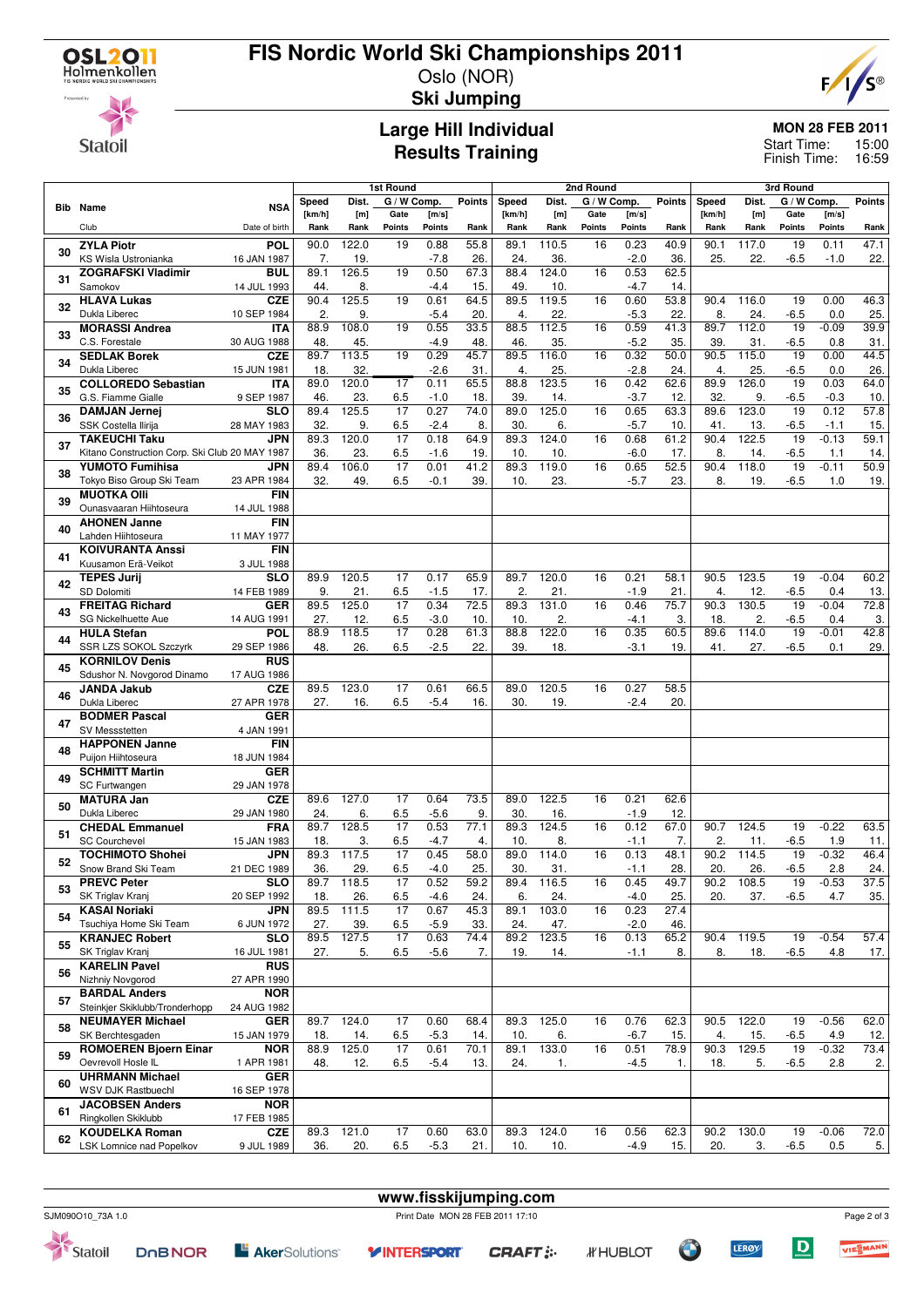

#### **FIS Nordic World Ski Championships 2011** Oslo (NOR)



**Statoil** 

## **Ski Jumping**

### **Large Hill Individual Results Training**

#### **MON 28 FEB 2011**

15:00 Finish Time: 16:59 Start Time:

|    |                                                |                           | 1st Round      |              |                 |                | 2nd Round      |             |              |             |                | 3rd Round     |             |              |                 |                |                          |
|----|------------------------------------------------|---------------------------|----------------|--------------|-----------------|----------------|----------------|-------------|--------------|-------------|----------------|---------------|-------------|--------------|-----------------|----------------|--------------------------|
|    |                                                |                           | Speed          | Dist.        | G / W Comp.     |                | Points         | Speed       | Dist.        | G / W Comp. |                | <b>Points</b> | Speed       | Dist.        | G / W Comp.     |                | <b>Points</b>            |
|    | Bib Name                                       | <b>NSA</b>                | [km/h]         | [m]          | Gate            | [m/s]          |                | [km/h]      | [m]          | Gate        | [m/s]          |               | [km/h]      | [m]          | Gate            | [m/s]          |                          |
|    | Club                                           | Date of birth             | Rank           | Rank         | Points          | Points         | Rank           | Rank        | Rank         | Points      | Points         | Rank          | Rank        | Rank         | Points          | Points         | Rank                     |
| 30 | <b>ZYLA Piotr</b>                              | POL                       | 90.0           | 122.0        | 19              | 0.88           | 55.8           | 89.1        | 110.5        | 16          | 0.23           | 40.9          | 90.1        | 117.0        | 19              | 0.11           | 47.1                     |
|    | KS Wisla Ustronianka                           | 16 JAN 1987               | 7.             | 19.          |                 | $-7.8$         | 26             | 24.         | 36           |             | $-2.0$         | 36            | 25.         | 22.          | $-6.5$          | $-1.0$         | 22.                      |
| 31 | <b>ZOGRAFSKI Vladimir</b>                      | BUL                       | 89.1           | 126.5        | 19              | 0.50           | 67.3           | 88.4        | 124.0        | 16          | 0.53           | 62.5          |             |              |                 |                |                          |
|    | Samokov<br><b>HLAVA Lukas</b>                  | 14 JUL 1993<br><b>CZE</b> | 44.<br>90.4    | 8.<br>125.5  | 19              | -4.4<br>0.61   | 15.<br>64.5    | 49.<br>89.5 | 10.<br>119.5 | 16          | $-4.7$<br>0.60 | 14.<br>53.8   | 90.4        | 116.0        | 19              | 0.00           | 46.3                     |
| 32 | Dukla Liberec                                  | 10 SEP 1984               | $\overline{2}$ | 9.           |                 | $-5.4$         | 20.            | 4.          | 22           |             | $-5.3$         | 22            | 8.          | 24.          | $-6.5$          | 0.0            | 25.                      |
|    | <b>MORASSI Andrea</b>                          | <b>ITA</b>                | 88.9           | 108.0        | 19              | 0.55           | 33.5           | 88.5        | 112.5        | 16          | 0.59           | 41.3          | 89.7        | 112.0        | 19              | $-0.09$        | 39.9                     |
| 33 | C.S. Forestale                                 | 30 AUG 1988               | 48.            | 45.          |                 | $-4.9$         | 48.            | 46.         | 35.          |             | $-5.2$         | 35            | 39          | 31.          | $-6.5$          | 0.8            | 31.                      |
| 34 | <b>SEDLAK Borek</b>                            | <b>CZE</b>                | 89.7           | 113.5        | 19              | 0.29           | 45.7           | 89.5        | 116.0        | 16          | 0.32           | 50.0          | 90.5        | 115.0        | $\overline{19}$ | 0.00           | 44.5                     |
|    | Dukla Liberec                                  | 15 JUN 1981               | 18.            | 32.          |                 | $-2.6$         | 31             | 4.          | 25.          |             | $-2.8$         | 24.           | 4.          | 25.          | $-6.5$          | 0.0            | 26.                      |
| 35 | <b>COLLOREDO Sebastian</b>                     | <b>ITA</b>                | 89.0           | 120.0        | 17              | 0.11           | 65.5           | 88.8        | 123.5        | 16          | 0.42           | 62.6          | 89.9        | 126.0        | 19              | 0.03           | 64.0                     |
|    | G.S. Fiamme Gialle                             | 9 SEP 1987<br><b>SLO</b>  | 46.<br>89.4    | 23.<br>125.5 | 6.5<br>17       | $-1.0$<br>0.27 | 18.<br>74.0    | 39.<br>89.0 | 14.<br>125.0 | 16          | $-3.7$<br>0.65 | 12.<br>63.3   | 32.<br>89.6 | 9.<br>123.0  | $-6.5$<br>19    | $-0.3$<br>0.12 | 10.<br>$\overline{57.8}$ |
| 36 | <b>DAMJAN Jernej</b><br>SSK Costella Ilirija   | 28 MAY 1983               | 32.            | 9.           | 6.5             | $-2.4$         | 8.             | 30.         | 6.           |             | $-5.7$         | 10.           | 41.         | 13.          | $-6.5$          | $-1.1$         | 15.                      |
|    | <b>TAKEUCHI Taku</b>                           | <b>JPN</b>                | 89.3           | 120.0        | 17              | 0.18           | 64.9           | 89.3        | 124.0        | 16          | 0.68           | 61.2          | 90.4        | 122.5        | 19              | $-0.13$        | 59.1                     |
| 37 | Kitano Construction Corp. Ski Club 20 MAY 1987 |                           | 36.            | 23.          | 6.5             | $-1.6$         | 19.            | 10.         | 10           |             | $-6.0$         | 17.           | 8.          | 14.          | $-6.5$          | 1.1            | 14.                      |
| 38 | <b>YUMOTO Fumihisa</b>                         | JPN                       | 89.4           | 106.0        | 17              | 0.01           | 41.2           | 89.3        | 119.0        | 16          | 0.65           | 52.5          | 90.4        | 118.0        | 19              | $-0.11$        | 50.9                     |
|    | Tokyo Biso Group Ski Team                      | 23 APR 1984               | 32.            | 49.          | 6.5             | $-0.1$         | 39.            | 10.         | 23.          |             | $-5.7$         | 23.           | 8.          | 19.          | $-6.5$          | 1.0            | 19.                      |
| 39 | <b>MUOTKA OIII</b>                             | <b>FIN</b>                |                |              |                 |                |                |             |              |             |                |               |             |              |                 |                |                          |
|    | Ounasvaaran Hiihtoseura                        | 14 JUL 1988               |                |              |                 |                |                |             |              |             |                |               |             |              |                 |                |                          |
| 40 | <b>AHONEN Janne</b><br>Lahden Hiihtoseura      | <b>FIN</b><br>11 MAY 1977 |                |              |                 |                |                |             |              |             |                |               |             |              |                 |                |                          |
|    | <b>KOIVURANTA Anssi</b>                        | <b>FIN</b>                |                |              |                 |                |                |             |              |             |                |               |             |              |                 |                |                          |
| 41 | Kuusamon Erä-Veikot                            | 3 JUL 1988                |                |              |                 |                |                |             |              |             |                |               |             |              |                 |                |                          |
|    | <b>TEPES Jurij</b>                             | <b>SLO</b>                | 89.9           | 120.5        | 17              | 0.17           | 65.9           | 89.7        | 120.0        | 16          | 0.21           | 58.1          | 90.5        | 123.5        | 19              | $-0.04$        | 60.2                     |
| 42 | SD Dolomiti                                    | 14 FEB 1989               | 9.             | 21.          | 6.5             | $-1.5$         | 17.            | 2.          | 21.          |             | $-1.9$         | 21            | 4.          | 12.          | $-6.5$          | 0.4            | 13.                      |
| 43 | <b>FREITAG Richard</b>                         | <b>GER</b>                | 89.5           | 125.0        | 17              | 0.34           | 72.5           | 89.3        | 131.0        | 16          | 0.46           | 75.7          | 90.3        | 130.5        | 19              | $-0.04$        | 72.8                     |
|    | SG Nickelhuette Aue                            | 14 AUG 1991               | 27.            | 12.          | 6.5             | $-3.0$         | 10.            | 10.         | 2.           |             | $-4.1$         | 3.            | 18.         | 2.           | $-6.5$          | 0.4            | 3.                       |
| 44 | <b>HULA Stefan</b>                             | POL                       | 88.9           | 118.5        | $\overline{17}$ | 0.28           | 61.3           | 88.8        | 122.0        | 16          | 0.35           | 60.5          | 89.6        | 114.0        | 19              | $-0.01$        | 42.8                     |
|    | SSR LZS SOKOL Szczyrk<br><b>KORNILOV Denis</b> | 29 SEP 1986<br><b>RUS</b> | 48.            | 26.          | 6.5             | $-2.5$         | 22.            | 39.         | 18.          |             | $-3.1$         | 19.           | 41.         | 27.          | $-6.5$          | 0.1            | 29.                      |
| 45 | Sdushor N. Novgorod Dinamo                     | 17 AUG 1986               |                |              |                 |                |                |             |              |             |                |               |             |              |                 |                |                          |
|    | <b>JANDA Jakub</b>                             | <b>CZE</b>                | 89.5           | 123.0        | 17              | 0.61           | 66.5           | 89.0        | 120.5        | 16          | 0.27           | 58.5          |             |              |                 |                |                          |
| 46 | Dukla Liberec                                  | 27 APR 1978               | 27.            | 16.          | 6.5             | $-5.4$         | 16.            | 30.         | 19.          |             | $-2.4$         | 20.           |             |              |                 |                |                          |
| 47 | <b>BODMER Pascal</b>                           | <b>GER</b>                |                |              |                 |                |                |             |              |             |                |               |             |              |                 |                |                          |
|    | SV Messstetten                                 | 4 JAN 1991                |                |              |                 |                |                |             |              |             |                |               |             |              |                 |                |                          |
| 48 | <b>HAPPONEN Janne</b>                          | <b>FIN</b>                |                |              |                 |                |                |             |              |             |                |               |             |              |                 |                |                          |
|    | Puijon Hiihtoseura                             | 18 JUN 1984<br><b>GER</b> |                |              |                 |                |                |             |              |             |                |               |             |              |                 |                |                          |
| 49 | <b>SCHMITT Martin</b><br>SC Furtwangen         | 29 JAN 1978               |                |              |                 |                |                |             |              |             |                |               |             |              |                 |                |                          |
|    | <b>MATURA Jan</b>                              | <b>CZE</b>                | 89.6           | 127.0        | 17              | 0.64           | 73.5           | 89.0        | 122.5        | 16          | 0.21           | 62.6          |             |              |                 |                |                          |
| 50 | Dukla Liberec                                  | 29 JAN 1980               | 24.            | 6.           | 6.5             | $-5.6$         | 9.             | 30.         | 16.          |             | $-1.9$         | 12.           |             |              |                 |                |                          |
| 51 | <b>CHEDAL Emmanuel</b>                         | <b>FRA</b>                | 89.7           | 128.5        | 17              | 0.53           | 77.1           | 89.3        | 124.5        | 16          | 0.12           | 67.0          | 90.7        | 124.5        | 19              | $-0.22$        | 63.5                     |
|    | <b>SC Courchevel</b>                           | 15 JAN 1983               | 18.            | 3.           | 6.5             | $-4.7$         | $\overline{4}$ | 10.         | 8.           |             | $-1.1$         | 7.            | 2.          | 11.          | $-6.5$          | 1.9            | 11.                      |
| 52 | <b>TOCHIMOTO Shohei</b>                        | <b>JPN</b>                | 89.3           | 117.5        | 17              | 0.45           | 58.0           | 89.0        | 114.0        | 16          | 0.13           | 48.1          | 90.2        | 114.5        | 19              | $-0.32$        | 46.4                     |
|    | Snow Brand Ski Team                            | 21 DEC 1989               | 36.            | 29.          | 6.5             | $-4.0$         | 25.            | 30.         | 31.          |             | $-1.1$         | 28.           | 20.         | 26.          | $-6.5$          | 2.8            | 24.                      |
| 53 | <b>PREVC Peter</b><br>SK Triglav Kranj         | <b>SLO</b><br>20 SEP 1992 | 89.7<br>18.    | 118.5<br>26. | 17<br>6.5       | 0.52<br>$-4.6$ | 59.2<br>24.    | 89.4<br>6.  | 116.5<br>24. | 16          | 0.45<br>$-4.0$ | 49.7<br>25.   | 90.2<br>20. | 108.5<br>37. | 19<br>$-6.5$    | $-0.53$<br>4.7 | 37.5<br>35.              |
|    | <b>KASAI Noriaki</b>                           | <b>JPN</b>                | 89.5           | 111.5        | 17              | 0.67           | 45.3           | 89.1        | 103.0        | 16          | 0.23           | 27.4          |             |              |                 |                |                          |
| 54 | Tsuchiya Home Ski Team                         | 6 JUN 1972                | 27.            | 39.          | 6.5             | $-5.9$         | 33.            | 24.         | 47.          |             | $-2.0$         | 46.           |             |              |                 |                |                          |
| 55 | <b>KRANJEC Robert</b>                          | <b>SLO</b>                | 89.5           | 127.5        | 17              | 0.63           | 74.4           | 89.2        | 123.5        | 16          | 0.13           | 65.2          | 90.4        | 119.5        | 19              | $-0.54$        | 57.4                     |
|    | SK Triglav Kranj                               | 16 JUL 1981               | 27.            | 5.           | 6.5             | $-5.6$         | 7.             | 19.         | 14.          |             | $-1.1$         | 8.            | 8.          | 18.          | $-6.5$          | 4.8            | 17.                      |
| 56 | <b>KARELIN Pavel</b>                           | <b>RUS</b>                |                |              |                 |                |                |             |              |             |                |               |             |              |                 |                |                          |
|    | Nizhniy Novgorod<br><b>BARDAL Anders</b>       | 27 APR 1990               |                |              |                 |                |                |             |              |             |                |               |             |              |                 |                |                          |
| 57 | Steinkjer Skiklubb/Tronderhopp                 | <b>NOR</b><br>24 AUG 1982 |                |              |                 |                |                |             |              |             |                |               |             |              |                 |                |                          |
|    | <b>NEUMAYER Michael</b>                        | <b>GER</b>                | 89.7           | 124.0        | 17              | 0.60           | 68.4           | 89.3        | 125.0        | 16          | 0.76           | 62.3          | 90.5        | 122.0        | 19              | $-0.56$        | 62.0                     |
| 58 | SK Berchtesgaden                               | 15 JAN 1979               | 18.            | 14.          | 6.5             | $-5.3$         | 14.            | 10.         | 6.           |             | $-6.7$         | 15.           | 4.          | 15.          | $-6.5$          | 4.9            | 12.                      |
|    | <b>ROMOEREN Bjoern Einar</b>                   | <b>NOR</b>                | 88.9           | 125.0        | 17              | 0.61           | 70.1           | 89.1        | 133.0        | 16          | 0.51           | 78.9          | 90.3        | 129.5        | 19              | $-0.32$        | 73.4                     |
| 59 | Oevrevoll Hosle IL                             | 1 APR 1981                | 48.            | 12.          | 6.5             | $-5.4$         | 13.            | 24.         | 1.           |             | $-4.5$         | 1.            | 18.         | 5.           | $-6.5$          | 2.8            | 2.                       |
| 60 | <b>UHRMANN Michael</b>                         | <b>GER</b>                |                |              |                 |                |                |             |              |             |                |               |             |              |                 |                |                          |
|    | WSV DJK Rastbuechl                             | 16 SEP 1978               |                |              |                 |                |                |             |              |             |                |               |             |              |                 |                |                          |
| 61 | <b>JACOBSEN Anders</b><br>Ringkollen Skiklubb  | <b>NOR</b>                |                |              |                 |                |                |             |              |             |                |               |             |              |                 |                |                          |
|    | <b>KOUDELKA Roman</b>                          | 17 FEB 1985<br><b>CZE</b> | 89.3           | 121.0        | 17              | 0.60           | 63.0           | 89.3        | 124.0        | 16          | 0.56           | 62.3          | 90.2        | 130.0        | 19              | $-0.06$        | 72.0                     |
| 62 | LSK Lomnice nad Popelkov                       | 9 JUL 1989                | 36.            | 20.          | 6.5             | $-5.3$         | 21.            | 10.         | 10.          |             | $-4.9$         | 15.           | 20.         | 3.           | $-6.5$          | 0.5            | 5.                       |
|    |                                                |                           |                |              |                 |                |                |             |              |             |                |               |             |              |                 |                |                          |



Page 2 of 3

VIESMANN

 $\boxed{\mathbf{D}}$